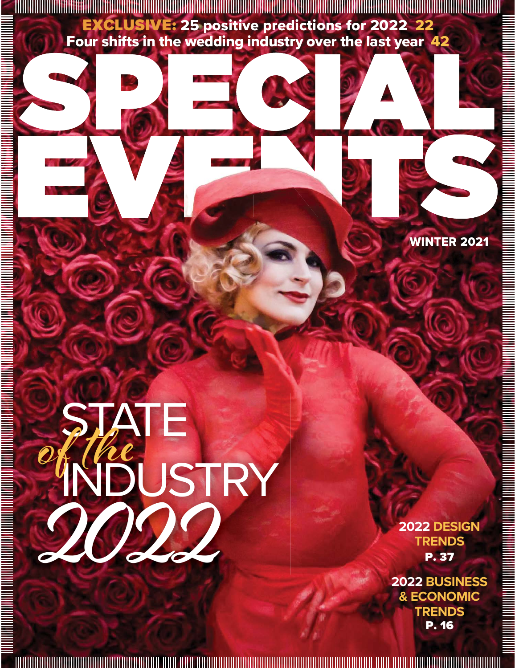EXCLUSIVE: 25 positive predictions for 2022 22 Four shifts in the wedding industry over the last year 42

WINTER 2021

## **STATE** INDUSTRY **2022 of the**

**2022 DESIGN TRENDS** P. 37

**2022 BUSINESS & ECONOMIC TRENDS**  P. 16